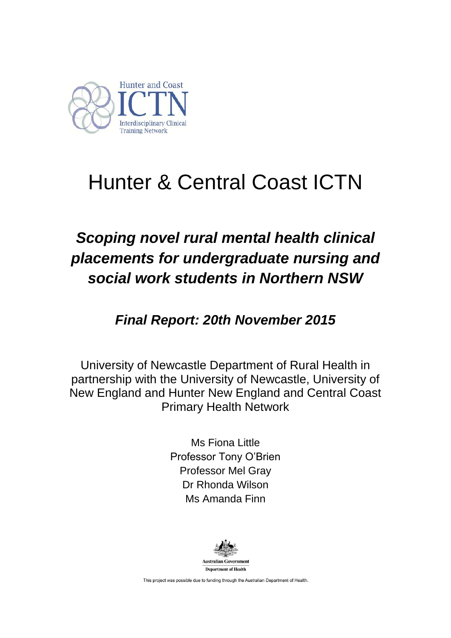

# Hunter & Central Coast ICTN

# *Scoping novel rural mental health clinical placements for undergraduate nursing and social work students in Northern NSW*

*Final Report: 20th November 2015*

University of Newcastle Department of Rural Health in partnership with the University of Newcastle, University of New England and Hunter New England and Central Coast Primary Health Network

> Ms Fiona Little Professor Tony O"Brien Professor Mel Gray Dr Rhonda Wilson Ms Amanda Finn



This project was possible due to funding through the Australian Department of Health.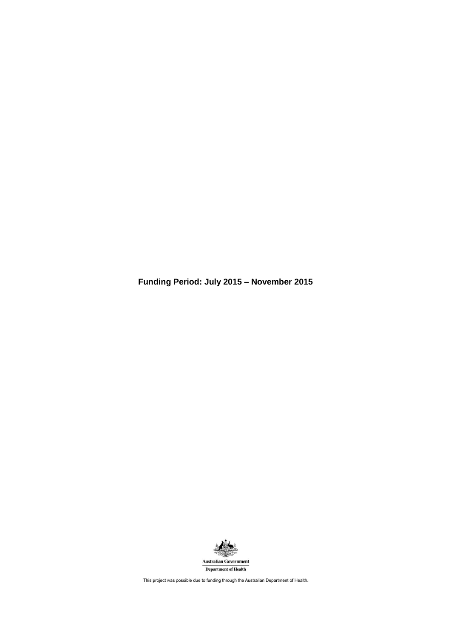**Funding Period: July 2015 – November 2015**



This project was possible due to funding through the Australian Department of Health.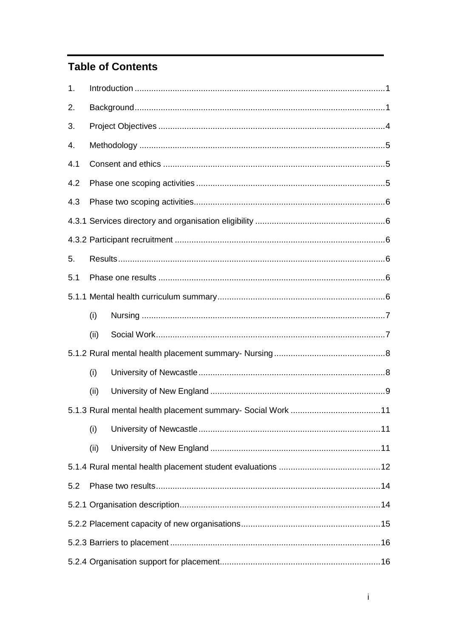# **Table of Contents**

| 1.  |      |  |  |  |
|-----|------|--|--|--|
| 2.  |      |  |  |  |
| 3.  |      |  |  |  |
| 4.  |      |  |  |  |
| 4.1 |      |  |  |  |
| 4.2 |      |  |  |  |
| 4.3 |      |  |  |  |
|     |      |  |  |  |
|     |      |  |  |  |
| 5.  |      |  |  |  |
| 5.1 |      |  |  |  |
|     |      |  |  |  |
|     | (i)  |  |  |  |
|     | (ii) |  |  |  |
|     |      |  |  |  |
|     | (i)  |  |  |  |
|     | (ii) |  |  |  |
|     |      |  |  |  |
|     | (i)  |  |  |  |
|     | (ii) |  |  |  |
|     |      |  |  |  |
| 5.2 |      |  |  |  |
|     |      |  |  |  |
|     |      |  |  |  |
|     |      |  |  |  |
|     |      |  |  |  |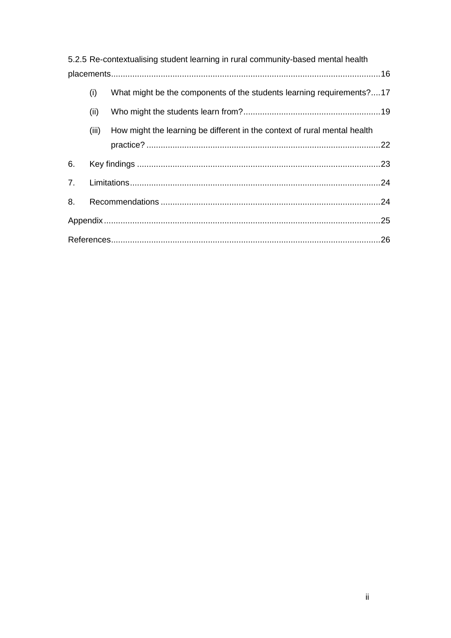|                |       | 5.2.5 Re-contextualising student learning in rural community-based mental health |  |
|----------------|-------|----------------------------------------------------------------------------------|--|
|                |       |                                                                                  |  |
|                | (i)   | What might be the components of the students learning requirements?17            |  |
|                | (ii)  |                                                                                  |  |
|                | (iii) | How might the learning be different in the context of rural mental health        |  |
|                |       |                                                                                  |  |
| 6.             |       |                                                                                  |  |
| 7 <sub>1</sub> |       |                                                                                  |  |
| 8.             |       |                                                                                  |  |
|                |       |                                                                                  |  |
|                |       |                                                                                  |  |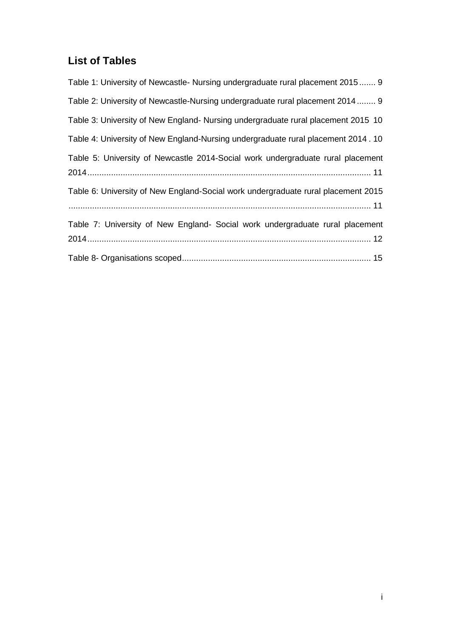# **List of Tables**

| Table 1: University of Newcastle- Nursing undergraduate rural placement 2015 9     |
|------------------------------------------------------------------------------------|
| Table 2: University of Newcastle-Nursing undergraduate rural placement 2014 9      |
| Table 3: University of New England- Nursing undergraduate rural placement 2015 10  |
| Table 4: University of New England-Nursing undergraduate rural placement 2014 . 10 |
| Table 5: University of Newcastle 2014-Social work undergraduate rural placement    |
| Table 6: University of New England-Social work undergraduate rural placement 2015  |
| Table 7: University of New England- Social work undergraduate rural placement      |
|                                                                                    |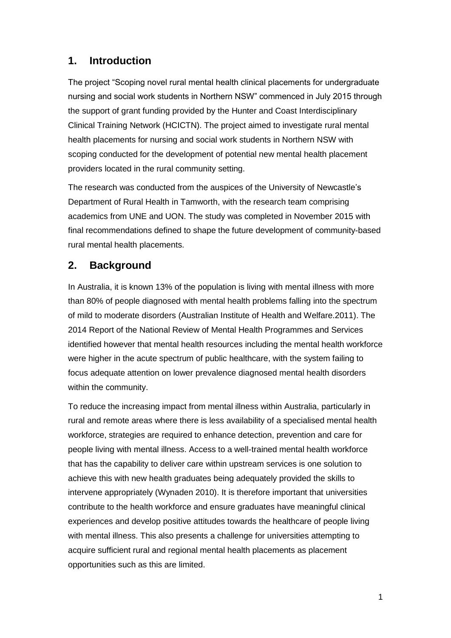# <span id="page-5-0"></span>**1. Introduction**

The project "Scoping novel rural mental health clinical placements for undergraduate nursing and social work students in Northern NSW" commenced in July 2015 through the support of grant funding provided by the Hunter and Coast Interdisciplinary Clinical Training Network (HCICTN). The project aimed to investigate rural mental health placements for nursing and social work students in Northern NSW with scoping conducted for the development of potential new mental health placement providers located in the rural community setting.

The research was conducted from the auspices of the University of Newcastle"s Department of Rural Health in Tamworth, with the research team comprising academics from UNE and UON. The study was completed in November 2015 with final recommendations defined to shape the future development of community-based rural mental health placements.

# <span id="page-5-1"></span>**2. Background**

In Australia, it is known 13% of the population is living with mental illness with more than 80% of people diagnosed with mental health problems falling into the spectrum of mild to moderate disorders (Australian Institute of Health and Welfare.2011). The 2014 Report of the National Review of Mental Health Programmes and Services identified however that mental health resources including the mental health workforce were higher in the acute spectrum of public healthcare, with the system failing to focus adequate attention on lower prevalence diagnosed mental health disorders within the community.

To reduce the increasing impact from mental illness within Australia, particularly in rural and remote areas where there is less availability of a specialised mental health workforce, strategies are required to enhance detection, prevention and care for people living with mental illness. Access to a well-trained mental health workforce that has the capability to deliver care within upstream services is one solution to achieve this with new health graduates being adequately provided the skills to intervene appropriately (Wynaden 2010). It is therefore important that universities contribute to the health workforce and ensure graduates have meaningful clinical experiences and develop positive attitudes towards the healthcare of people living with mental illness. This also presents a challenge for universities attempting to acquire sufficient rural and regional mental health placements as placement opportunities such as this are limited.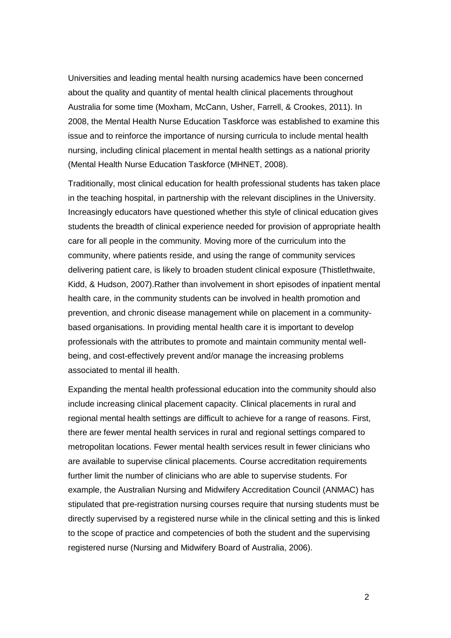Universities and leading mental health nursing academics have been concerned about the quality and quantity of mental health clinical placements throughout Australia for some time (Moxham, McCann, Usher, Farrell, & Crookes, 2011). In 2008, the Mental Health Nurse Education Taskforce was established to examine this issue and to reinforce the importance of nursing curricula to include mental health nursing, including clinical placement in mental health settings as a national priority (Mental Health Nurse Education Taskforce (MHNET, 2008).

Traditionally, most clinical education for health professional students has taken place in the teaching hospital, in partnership with the relevant disciplines in the University. Increasingly educators have questioned whether this style of clinical education gives students the breadth of clinical experience needed for provision of appropriate health care for all people in the community. Moving more of the curriculum into the community, where patients reside, and using the range of community services delivering patient care, is likely to broaden student clinical exposure (Thistlethwaite, Kidd, & Hudson, 2007).Rather than involvement in short episodes of inpatient mental health care, in the community students can be involved in health promotion and prevention, and chronic disease management while on placement in a communitybased organisations. In providing mental health care it is important to develop professionals with the attributes to promote and maintain community mental wellbeing, and cost-effectively prevent and/or manage the increasing problems associated to mental ill health.

Expanding the mental health professional education into the community should also include increasing clinical placement capacity. Clinical placements in rural and regional mental health settings are difficult to achieve for a range of reasons. First, there are fewer mental health services in rural and regional settings compared to metropolitan locations. Fewer mental health services result in fewer clinicians who are available to supervise clinical placements. Course accreditation requirements further limit the number of clinicians who are able to supervise students. For example, the Australian Nursing and Midwifery Accreditation Council (ANMAC) has stipulated that pre-registration nursing courses require that nursing students must be directly supervised by a registered nurse while in the clinical setting and this is linked to the scope of practice and competencies of both the student and the supervising registered nurse (Nursing and Midwifery Board of Australia, 2006).

2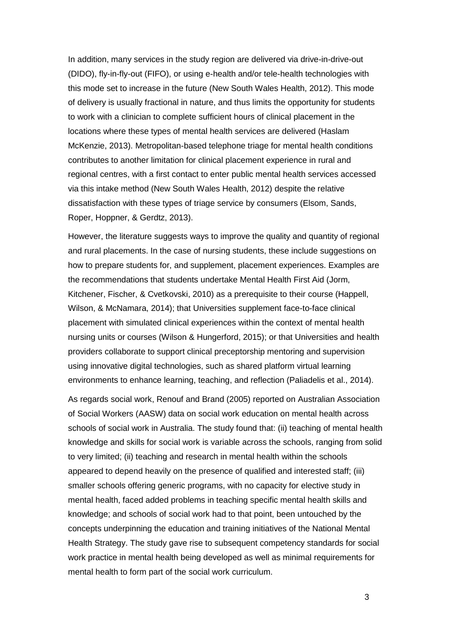In addition, many services in the study region are delivered via drive-in-drive-out (DIDO), fly-in-fly-out (FIFO), or using e-health and/or tele-health technologies with this mode set to increase in the future (New South Wales Health, 2012). This mode of delivery is usually fractional in nature, and thus limits the opportunity for students to work with a clinician to complete sufficient hours of clinical placement in the locations where these types of mental health services are delivered (Haslam McKenzie, 2013). Metropolitan-based telephone triage for mental health conditions contributes to another limitation for clinical placement experience in rural and regional centres, with a first contact to enter public mental health services accessed via this intake method (New South Wales Health, 2012) despite the relative dissatisfaction with these types of triage service by consumers (Elsom, Sands, Roper, Hoppner, & Gerdtz, 2013).

However, the literature suggests ways to improve the quality and quantity of regional and rural placements. In the case of nursing students, these include suggestions on how to prepare students for, and supplement, placement experiences. Examples are the recommendations that students undertake Mental Health First Aid (Jorm, Kitchener, Fischer, & Cvetkovski, 2010) as a prerequisite to their course (Happell, Wilson, & McNamara, 2014); that Universities supplement face-to-face clinical placement with simulated clinical experiences within the context of mental health nursing units or courses (Wilson & Hungerford, 2015); or that Universities and health providers collaborate to support clinical preceptorship mentoring and supervision using innovative digital technologies, such as shared platform virtual learning environments to enhance learning, teaching, and reflection (Paliadelis et al., 2014).

As regards social work, Renouf and Brand (2005) reported on Australian Association of Social Workers (AASW) data on social work education on mental health across schools of social work in Australia. The study found that: (ii) teaching of mental health knowledge and skills for social work is variable across the schools, ranging from solid to very limited; (ii) teaching and research in mental health within the schools appeared to depend heavily on the presence of qualified and interested staff; (iii) smaller schools offering generic programs, with no capacity for elective study in mental health, faced added problems in teaching specific mental health skills and knowledge; and schools of social work had to that point, been untouched by the concepts underpinning the education and training initiatives of the National Mental Health Strategy. The study gave rise to subsequent competency standards for social work practice in mental health being developed as well as minimal requirements for mental health to form part of the social work curriculum.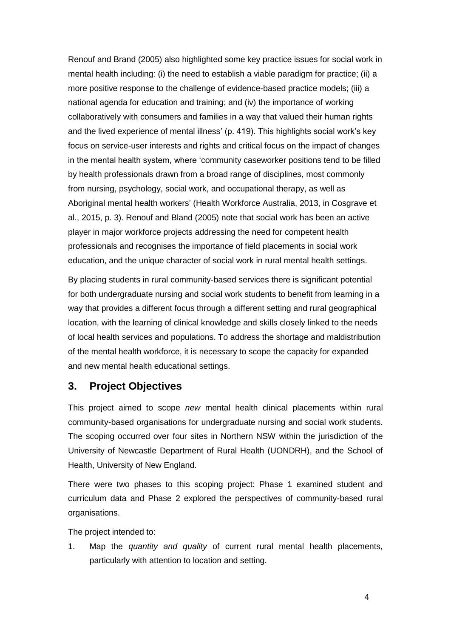Renouf and Brand (2005) also highlighted some key practice issues for social work in mental health including: (i) the need to establish a viable paradigm for practice; (ii) a more positive response to the challenge of evidence-based practice models; (iii) a national agenda for education and training; and (iv) the importance of working collaboratively with consumers and families in a way that valued their human rights and the lived experience of mental illness" (p. 419). This highlights social work"s key focus on service-user interests and rights and critical focus on the impact of changes in the mental health system, where "community caseworker positions tend to be filled by health professionals drawn from a broad range of disciplines, most commonly from nursing, psychology, social work, and occupational therapy, as well as Aboriginal mental health workers" (Health Workforce Australia, 2013, in Cosgrave et al., 2015, p. 3). Renouf and Bland (2005) note that social work has been an active player in major workforce projects addressing the need for competent health professionals and recognises the importance of field placements in social work education, and the unique character of social work in rural mental health settings.

By placing students in rural community-based services there is significant potential for both undergraduate nursing and social work students to benefit from learning in a way that provides a different focus through a different setting and rural geographical location, with the learning of clinical knowledge and skills closely linked to the needs of local health services and populations. To address the shortage and maldistribution of the mental health workforce, it is necessary to scope the capacity for expanded and new mental health educational settings.

#### <span id="page-8-0"></span>**3. Project Objectives**

This project aimed to scope *new* mental health clinical placements within rural community-based organisations for undergraduate nursing and social work students. The scoping occurred over four sites in Northern NSW within the jurisdiction of the University of Newcastle Department of Rural Health (UONDRH), and the School of Health, University of New England.

There were two phases to this scoping project: Phase 1 examined student and curriculum data and Phase 2 explored the perspectives of community-based rural organisations.

The project intended to:

1. Map the *quantity and quality* of current rural mental health placements, particularly with attention to location and setting.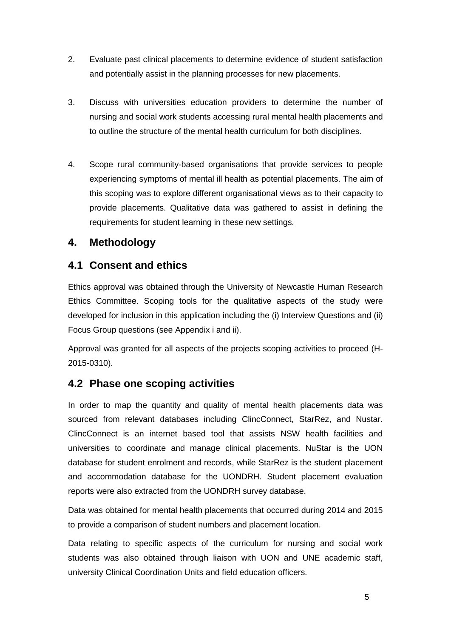- 2. Evaluate past clinical placements to determine evidence of student satisfaction and potentially assist in the planning processes for new placements.
- 3. Discuss with universities education providers to determine the number of nursing and social work students accessing rural mental health placements and to outline the structure of the mental health curriculum for both disciplines.
- 4. Scope rural community-based organisations that provide services to people experiencing symptoms of mental ill health as potential placements. The aim of this scoping was to explore different organisational views as to their capacity to provide placements. Qualitative data was gathered to assist in defining the requirements for student learning in these new settings.

# <span id="page-9-0"></span>**4. Methodology**

# <span id="page-9-1"></span>**4.1 Consent and ethics**

Ethics approval was obtained through the University of Newcastle Human Research Ethics Committee. Scoping tools for the qualitative aspects of the study were developed for inclusion in this application including the (i) Interview Questions and (ii) Focus Group questions (see Appendix i and ii).

Approval was granted for all aspects of the projects scoping activities to proceed (H-2015-0310).

# <span id="page-9-2"></span>**4.2 Phase one scoping activities**

In order to map the quantity and quality of mental health placements data was sourced from relevant databases including ClincConnect, StarRez, and Nustar. ClincConnect is an internet based tool that assists NSW health facilities and universities to coordinate and manage clinical placements. NuStar is the UON database for student enrolment and records, while StarRez is the student placement and accommodation database for the UONDRH. Student placement evaluation reports were also extracted from the UONDRH survey database.

Data was obtained for mental health placements that occurred during 2014 and 2015 to provide a comparison of student numbers and placement location.

Data relating to specific aspects of the curriculum for nursing and social work students was also obtained through liaison with UON and UNE academic staff, university Clinical Coordination Units and field education officers.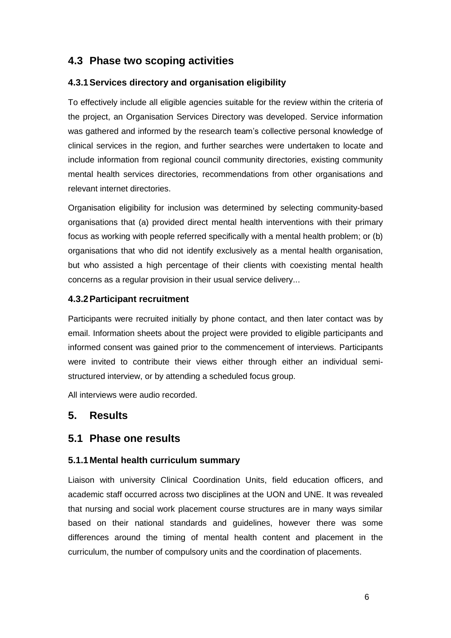# <span id="page-10-0"></span>**4.3 Phase two scoping activities**

### <span id="page-10-1"></span>**4.3.1Services directory and organisation eligibility**

To effectively include all eligible agencies suitable for the review within the criteria of the project, an Organisation Services Directory was developed. Service information was gathered and informed by the research team"s collective personal knowledge of clinical services in the region, and further searches were undertaken to locate and include information from regional council community directories, existing community mental health services directories, recommendations from other organisations and relevant internet directories.

Organisation eligibility for inclusion was determined by selecting community-based organisations that (a) provided direct mental health interventions with their primary focus as working with people referred specifically with a mental health problem; or (b) organisations that who did not identify exclusively as a mental health organisation, but who assisted a high percentage of their clients with coexisting mental health concerns as a regular provision in their usual service delivery...

#### <span id="page-10-2"></span>**4.3.2Participant recruitment**

Participants were recruited initially by phone contact, and then later contact was by email. Information sheets about the project were provided to eligible participants and informed consent was gained prior to the commencement of interviews. Participants were invited to contribute their views either through either an individual semistructured interview, or by attending a scheduled focus group.

All interviews were audio recorded.

# <span id="page-10-3"></span>**5. Results**

## <span id="page-10-4"></span>**5.1 Phase one results**

#### <span id="page-10-5"></span>**5.1.1Mental health curriculum summary**

Liaison with university Clinical Coordination Units, field education officers, and academic staff occurred across two disciplines at the UON and UNE. It was revealed that nursing and social work placement course structures are in many ways similar based on their national standards and guidelines, however there was some differences around the timing of mental health content and placement in the curriculum, the number of compulsory units and the coordination of placements.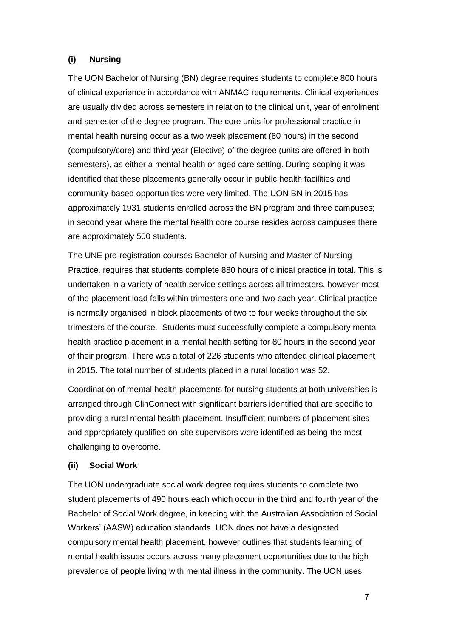#### <span id="page-11-0"></span>**(i) Nursing**

The UON Bachelor of Nursing (BN) degree requires students to complete 800 hours of clinical experience in accordance with ANMAC requirements. Clinical experiences are usually divided across semesters in relation to the clinical unit, year of enrolment and semester of the degree program. The core units for professional practice in mental health nursing occur as a two week placement (80 hours) in the second (compulsory/core) and third year (Elective) of the degree (units are offered in both semesters), as either a mental health or aged care setting. During scoping it was identified that these placements generally occur in public health facilities and community-based opportunities were very limited. The UON BN in 2015 has approximately 1931 students enrolled across the BN program and three campuses; in second year where the mental health core course resides across campuses there are approximately 500 students.

The UNE pre-registration courses Bachelor of Nursing and Master of Nursing Practice, requires that students complete 880 hours of clinical practice in total. This is undertaken in a variety of health service settings across all trimesters, however most of the placement load falls within trimesters one and two each year. Clinical practice is normally organised in block placements of two to four weeks throughout the six trimesters of the course. Students must successfully complete a compulsory mental health practice placement in a mental health setting for 80 hours in the second year of their program. There was a total of 226 students who attended clinical placement in 2015. The total number of students placed in a rural location was 52.

Coordination of mental health placements for nursing students at both universities is arranged through ClinConnect with significant barriers identified that are specific to providing a rural mental health placement. Insufficient numbers of placement sites and appropriately qualified on-site supervisors were identified as being the most challenging to overcome.

#### <span id="page-11-1"></span>**(ii) Social Work**

The UON undergraduate social work degree requires students to complete two student placements of 490 hours each which occur in the third and fourth year of the Bachelor of Social Work degree, in keeping with the Australian Association of Social Workers' (AASW) education standards. UON does not have a designated compulsory mental health placement, however outlines that students learning of mental health issues occurs across many placement opportunities due to the high prevalence of people living with mental illness in the community. The UON uses

7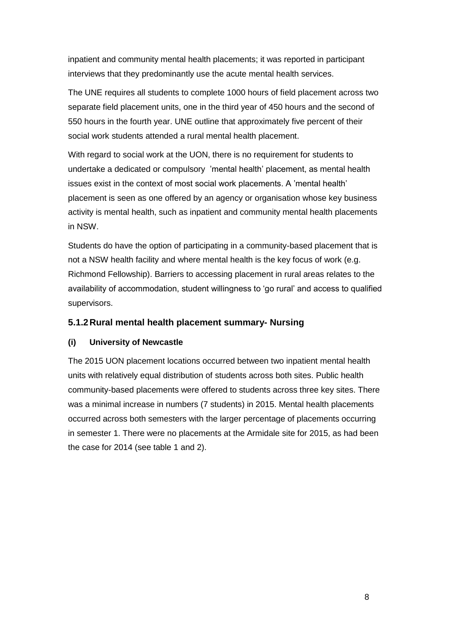inpatient and community mental health placements; it was reported in participant interviews that they predominantly use the acute mental health services.

The UNE requires all students to complete 1000 hours of field placement across two separate field placement units, one in the third year of 450 hours and the second of 550 hours in the fourth year. UNE outline that approximately five percent of their social work students attended a rural mental health placement.

With regard to social work at the UON, there is no requirement for students to undertake a dedicated or compulsory "mental health" placement, as mental health issues exist in the context of most social work placements. A "mental health" placement is seen as one offered by an agency or organisation whose key business activity is mental health, such as inpatient and community mental health placements in NSW.

Students do have the option of participating in a community-based placement that is not a NSW health facility and where mental health is the key focus of work (e.g. Richmond Fellowship). Barriers to accessing placement in rural areas relates to the availability of accommodation, student willingness to "go rural" and access to qualified supervisors.

#### <span id="page-12-0"></span>**5.1.2Rural mental health placement summary- Nursing**

#### <span id="page-12-1"></span>**(i) University of Newcastle**

The 2015 UON placement locations occurred between two inpatient mental health units with relatively equal distribution of students across both sites. Public health community-based placements were offered to students across three key sites. There was a minimal increase in numbers (7 students) in 2015. Mental health placements occurred across both semesters with the larger percentage of placements occurring in semester 1. There were no placements at the Armidale site for 2015, as had been the case for 2014 (see table 1 and 2).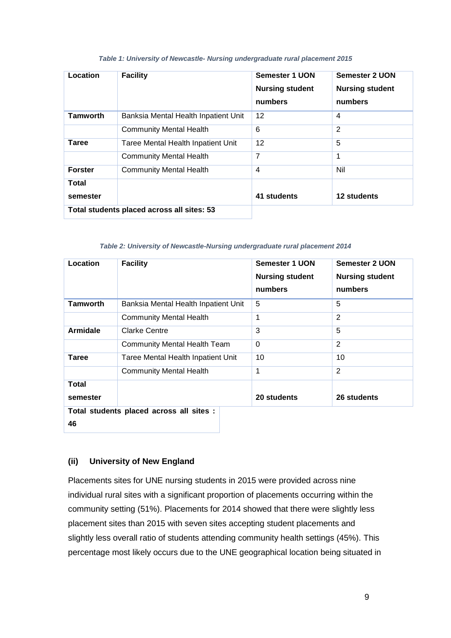| Location        | <b>Facility</b>                            | Semester 1 UON<br><b>Nursing student</b><br>numbers | Semester 2 UON<br><b>Nursing student</b><br>numbers |
|-----------------|--------------------------------------------|-----------------------------------------------------|-----------------------------------------------------|
| <b>Tamworth</b> | Banksia Mental Health Inpatient Unit       | 12                                                  | $\overline{4}$                                      |
|                 | <b>Community Mental Health</b>             | 6                                                   | $\overline{2}$                                      |
| Taree           | Taree Mental Health Inpatient Unit         | 12                                                  | 5                                                   |
|                 | <b>Community Mental Health</b>             | 7                                                   | 1                                                   |
| <b>Forster</b>  | <b>Community Mental Health</b>             | 4                                                   | Nil                                                 |
| Total           |                                            |                                                     |                                                     |
| semester        |                                            | 41 students                                         | 12 students                                         |
|                 | Total students placed across all sites: 53 |                                                     |                                                     |

#### *Table 1: University of Newcastle- Nursing undergraduate rural placement 2015*

*Table 2: University of Newcastle-Nursing undergraduate rural placement 2014*

| Location                                 | <b>Facility</b>                      | Semester 1 UON<br><b>Nursing student</b><br>numbers | <b>Semester 2 UON</b><br><b>Nursing student</b><br>numbers |  |
|------------------------------------------|--------------------------------------|-----------------------------------------------------|------------------------------------------------------------|--|
| <b>Tamworth</b>                          | Banksia Mental Health Inpatient Unit | 5                                                   | 5                                                          |  |
|                                          | <b>Community Mental Health</b>       | 1                                                   | 2                                                          |  |
| <b>Armidale</b>                          | Clarke Centre                        | 3                                                   | 5                                                          |  |
|                                          | <b>Community Mental Health Team</b>  | $\Omega$                                            | $\overline{2}$                                             |  |
| Taree                                    | Taree Mental Health Inpatient Unit   | 10                                                  | 10                                                         |  |
|                                          | <b>Community Mental Health</b>       | 1                                                   | 2                                                          |  |
| Total                                    |                                      |                                                     |                                                            |  |
| semester                                 |                                      | 20 students                                         | 26 students                                                |  |
| Total students placed across all sites : |                                      |                                                     |                                                            |  |
| 46                                       |                                      |                                                     |                                                            |  |

#### <span id="page-13-0"></span>**(ii) University of New England**

Placements sites for UNE nursing students in 2015 were provided across nine individual rural sites with a significant proportion of placements occurring within the community setting (51%). Placements for 2014 showed that there were slightly less placement sites than 2015 with seven sites accepting student placements and slightly less overall ratio of students attending community health settings (45%). This percentage most likely occurs due to the UNE geographical location being situated in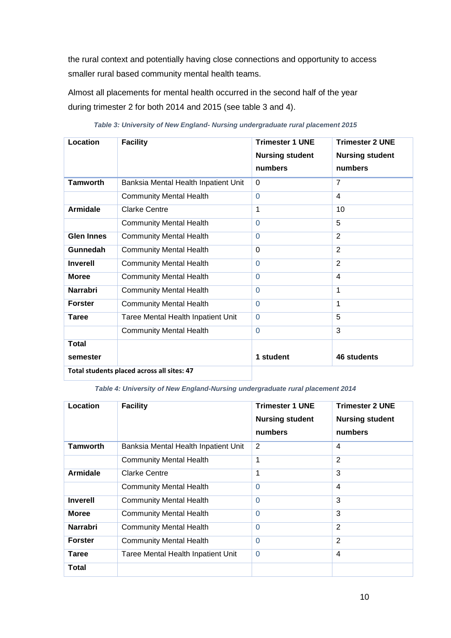the rural context and potentially having close connections and opportunity to access smaller rural based community mental health teams.

Almost all placements for mental health occurred in the second half of the year during trimester 2 for both 2014 and 2015 (see table 3 and 4).

| Location          | <b>Facility</b>                            | <b>Trimester 1 UNE</b><br><b>Nursing student</b><br>numbers | <b>Trimester 2 UNE</b><br><b>Nursing student</b><br>numbers |
|-------------------|--------------------------------------------|-------------------------------------------------------------|-------------------------------------------------------------|
| <b>Tamworth</b>   | Banksia Mental Health Inpatient Unit       | $\Omega$                                                    | $\overline{7}$                                              |
|                   | <b>Community Mental Health</b>             | $\Omega$                                                    | 4                                                           |
| <b>Armidale</b>   | Clarke Centre                              | 1                                                           | 10                                                          |
|                   | <b>Community Mental Health</b>             | $\Omega$                                                    | 5                                                           |
| <b>Glen Innes</b> | <b>Community Mental Health</b>             | $\Omega$                                                    | $\overline{2}$                                              |
| Gunnedah          | <b>Community Mental Health</b>             | $\overline{0}$                                              | $\overline{2}$                                              |
| <b>Inverell</b>   | <b>Community Mental Health</b>             | $\Omega$                                                    | $\overline{2}$                                              |
| <b>Moree</b>      | <b>Community Mental Health</b>             | $\Omega$                                                    | $\overline{4}$                                              |
| <b>Narrabri</b>   | <b>Community Mental Health</b>             | $\Omega$                                                    | 1                                                           |
| <b>Forster</b>    | <b>Community Mental Health</b>             | $\Omega$                                                    | 1                                                           |
| <b>Taree</b>      | Taree Mental Health Inpatient Unit         | $\Omega$                                                    | 5                                                           |
|                   | <b>Community Mental Health</b>             | $\Omega$                                                    | 3                                                           |
| <b>Total</b>      |                                            |                                                             |                                                             |
| semester          |                                            | 1 student                                                   | 46 students                                                 |
|                   | Total students placed across all sites: 47 |                                                             |                                                             |

*Table 3: University of New England- Nursing undergraduate rural placement 2015*

*Table 4: University of New England-Nursing undergraduate rural placement 2014*

| Location        | <b>Facility</b>                      | <b>Trimester 1 UNE</b><br><b>Nursing student</b><br>numbers | <b>Trimester 2 UNE</b><br><b>Nursing student</b><br>numbers |
|-----------------|--------------------------------------|-------------------------------------------------------------|-------------------------------------------------------------|
| <b>Tamworth</b> | Banksia Mental Health Inpatient Unit | 2                                                           | 4                                                           |
|                 | <b>Community Mental Health</b>       | 1                                                           | $\overline{2}$                                              |
| Armidale        | Clarke Centre                        | 1                                                           | 3                                                           |
|                 | <b>Community Mental Health</b>       | $\Omega$                                                    | 4                                                           |
| <b>Inverell</b> | <b>Community Mental Health</b>       | $\Omega$                                                    | 3                                                           |
| <b>Moree</b>    | <b>Community Mental Health</b>       | $\Omega$                                                    | 3                                                           |
| Narrabri        | <b>Community Mental Health</b>       | $\Omega$                                                    | $\overline{2}$                                              |
| <b>Forster</b>  | <b>Community Mental Health</b>       | $\Omega$                                                    | $\overline{2}$                                              |
| Taree           | Taree Mental Health Inpatient Unit   | $\Omega$                                                    | 4                                                           |
| Total           |                                      |                                                             |                                                             |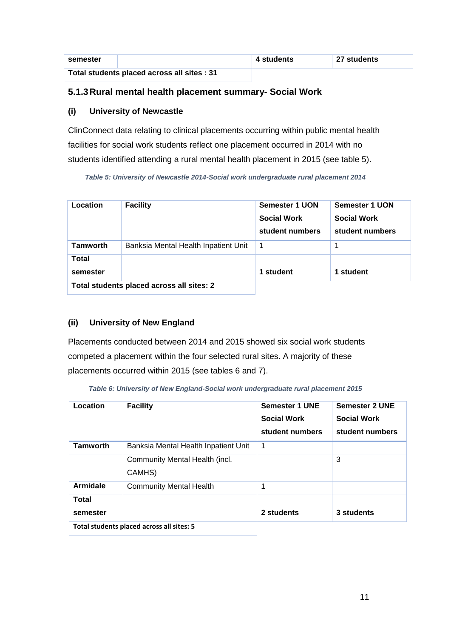| semester                                    |  | 4 students | 27 students |
|---------------------------------------------|--|------------|-------------|
| Total students placed across all sites : 31 |  |            |             |

### <span id="page-15-0"></span>**5.1.3Rural mental health placement summary- Social Work**

#### <span id="page-15-1"></span>**(i) University of Newcastle**

ClinConnect data relating to clinical placements occurring within public mental health facilities for social work students reflect one placement occurred in 2014 with no students identified attending a rural mental health placement in 2015 (see table 5).

*Table 5: University of Newcastle 2014-Social work undergraduate rural placement 2014*

| Location                 | <b>Facility</b>                           | Semester 1 UON<br><b>Social Work</b><br>student numbers | <b>Semester 1 UON</b><br><b>Social Work</b><br>student numbers |
|--------------------------|-------------------------------------------|---------------------------------------------------------|----------------------------------------------------------------|
| <b>Tamworth</b>          | Banksia Mental Health Inpatient Unit      | 1                                                       |                                                                |
| <b>Total</b><br>semester |                                           | 1 student                                               | 1 student                                                      |
|                          | Total students placed across all sites: 2 |                                                         |                                                                |

## <span id="page-15-2"></span>**(ii) University of New England**

Placements conducted between 2014 and 2015 showed six social work students competed a placement within the four selected rural sites. A majority of these placements occurred within 2015 (see tables 6 and 7).

*Table 6: University of New England-Social work undergraduate rural placement 2015*

| Location          | <b>Facility</b>                           | <b>Semester 1 UNE</b><br><b>Social Work</b><br>student numbers | <b>Semester 2 UNE</b><br><b>Social Work</b><br>student numbers |
|-------------------|-------------------------------------------|----------------------------------------------------------------|----------------------------------------------------------------|
| <b>Tamworth</b>   | Banksia Mental Health Inpatient Unit      | 1                                                              |                                                                |
|                   | Community Mental Health (incl.<br>CAMHS)  |                                                                | 3                                                              |
| <b>Armidale</b>   | <b>Community Mental Health</b>            | 1                                                              |                                                                |
| Total<br>semester |                                           | 2 students                                                     | 3 students                                                     |
|                   | Total students placed across all sites: 5 |                                                                |                                                                |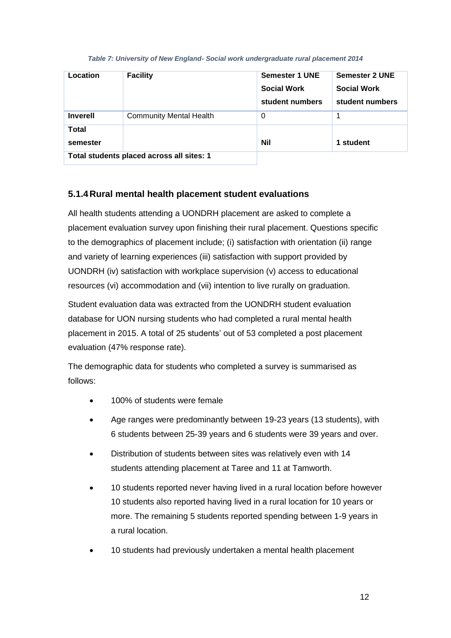#### *Table 7: University of New England- Social work undergraduate rural placement 2014*

| Location        | <b>Facility</b>                           | <b>Semester 1 UNE</b><br><b>Social Work</b><br>student numbers | <b>Semester 2 UNE</b><br><b>Social Work</b><br>student numbers |
|-----------------|-------------------------------------------|----------------------------------------------------------------|----------------------------------------------------------------|
| <b>Inverell</b> | <b>Community Mental Health</b>            | 0                                                              |                                                                |
| <b>Total</b>    |                                           |                                                                |                                                                |
| semester        |                                           | <b>Nil</b>                                                     | 1 student                                                      |
|                 | Total students placed across all sites: 1 |                                                                |                                                                |

## <span id="page-16-0"></span>**5.1.4Rural mental health placement student evaluations**

All health students attending a UONDRH placement are asked to complete a placement evaluation survey upon finishing their rural placement. Questions specific to the demographics of placement include; (i) satisfaction with orientation (ii) range and variety of learning experiences (iii) satisfaction with support provided by UONDRH (iv) satisfaction with workplace supervision (v) access to educational resources (vi) accommodation and (vii) intention to live rurally on graduation.

Student evaluation data was extracted from the UONDRH student evaluation database for UON nursing students who had completed a rural mental health placement in 2015. A total of 25 students" out of 53 completed a post placement evaluation (47% response rate).

The demographic data for students who completed a survey is summarised as follows:

- 100% of students were female
- Age ranges were predominantly between 19-23 years (13 students), with 6 students between 25-39 years and 6 students were 39 years and over.
- Distribution of students between sites was relatively even with 14 students attending placement at Taree and 11 at Tamworth.
- 10 students reported never having lived in a rural location before however 10 students also reported having lived in a rural location for 10 years or more. The remaining 5 students reported spending between 1-9 years in a rural location.
- 10 students had previously undertaken a mental health placement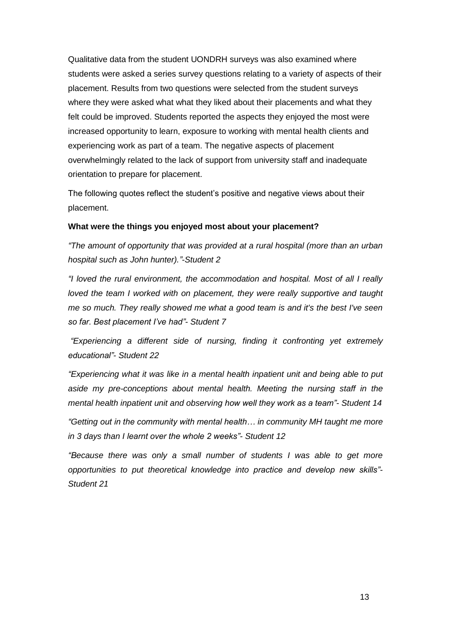Qualitative data from the student UONDRH surveys was also examined where students were asked a series survey questions relating to a variety of aspects of their placement. Results from two questions were selected from the student surveys where they were asked what what they liked about their placements and what they felt could be improved. Students reported the aspects they enjoyed the most were increased opportunity to learn, exposure to working with mental health clients and experiencing work as part of a team. The negative aspects of placement overwhelmingly related to the lack of support from university staff and inadequate orientation to prepare for placement.

The following quotes reflect the student"s positive and negative views about their placement.

#### **What were the things you enjoyed most about your placement?**

*"The amount of opportunity that was provided at a rural hospital (more than an urban hospital such as John hunter)."-Student 2*

*"I loved the rural environment, the accommodation and hospital. Most of all I really loved the team I worked with on placement, they were really supportive and taught me so much. They really showed me what a good team is and it's the best I've seen so far. Best placement I've had"- Student 7*

*"Experiencing a different side of nursing, finding it confronting yet extremely educational"- Student 22*

*"Experiencing what it was like in a mental health inpatient unit and being able to put aside my pre-conceptions about mental health. Meeting the nursing staff in the mental health inpatient unit and observing how well they work as a team"- Student 14* 

*"Getting out in the community with mental health… in community MH taught me more in 3 days than I learnt over the whole 2 weeks"- Student 12*

*"Because there was only a small number of students I was able to get more opportunities to put theoretical knowledge into practice and develop new skills"- Student 21*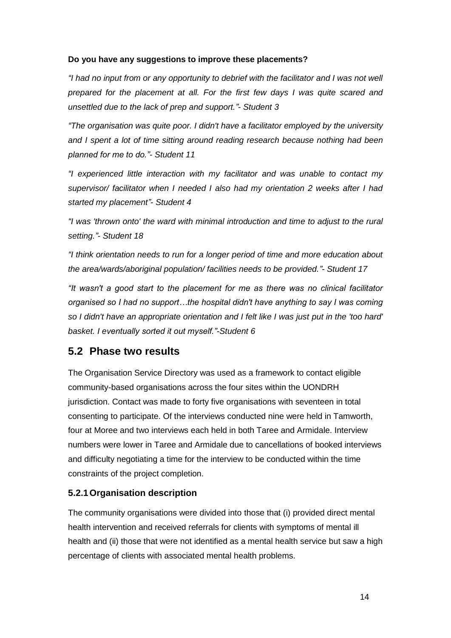#### **Do you have any suggestions to improve these placements?**

*"I had no input from or any opportunity to debrief with the facilitator and I was not well prepared for the placement at all. For the first few days I was quite scared and unsettled due to the lack of prep and support."- Student 3*

*"The organisation was quite poor. I didn't have a facilitator employed by the university and I spent a lot of time sitting around reading research because nothing had been planned for me to do."- Student 11*

*"I experienced little interaction with my facilitator and was unable to contact my supervisor/ facilitator when I needed I also had my orientation 2 weeks after I had started my placement"- Student 4*

*"I was 'thrown onto' the ward with minimal introduction and time to adjust to the rural setting."- Student 18*

*"I think orientation needs to run for a longer period of time and more education about the area/wards/aboriginal population/ facilities needs to be provided."- Student 17*

*"It wasn't a good start to the placement for me as there was no clinical facilitator organised so I had no support…the hospital didn't have anything to say I was coming so I didn't have an appropriate orientation and I felt like I was just put in the 'too hard' basket. I eventually sorted it out myself."-Student 6*

# <span id="page-18-0"></span>**5.2 Phase two results**

The Organisation Service Directory was used as a framework to contact eligible community-based organisations across the four sites within the UONDRH jurisdiction. Contact was made to forty five organisations with seventeen in total consenting to participate. Of the interviews conducted nine were held in Tamworth, four at Moree and two interviews each held in both Taree and Armidale. Interview numbers were lower in Taree and Armidale due to cancellations of booked interviews and difficulty negotiating a time for the interview to be conducted within the time constraints of the project completion.

## <span id="page-18-1"></span>**5.2.1Organisation description**

The community organisations were divided into those that (i) provided direct mental health intervention and received referrals for clients with symptoms of mental ill health and (ii) those that were not identified as a mental health service but saw a high percentage of clients with associated mental health problems.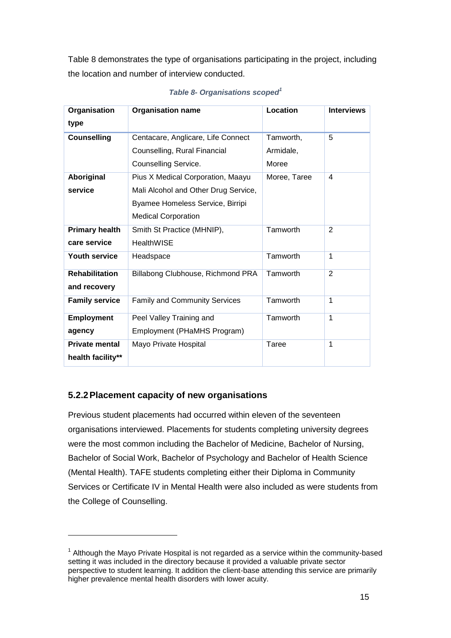Table 8 demonstrates the type of organisations participating in the project, including the location and number of interview conducted.

| Organisation          | <b>Organisation name</b>             | Location     | <b>Interviews</b> |
|-----------------------|--------------------------------------|--------------|-------------------|
| type                  |                                      |              |                   |
| <b>Counselling</b>    | Centacare, Anglicare, Life Connect   | Tamworth,    | 5                 |
|                       | Counselling, Rural Financial         | Armidale,    |                   |
|                       | Counselling Service.                 | Moree        |                   |
| Aboriginal            | Pius X Medical Corporation, Maayu    | Moree, Taree | 4                 |
| service               | Mali Alcohol and Other Drug Service, |              |                   |
|                       | Byamee Homeless Service, Birripi     |              |                   |
|                       | <b>Medical Corporation</b>           |              |                   |
| <b>Primary health</b> | Smith St Practice (MHNIP),           | Tamworth     | 2                 |
| care service          | <b>HealthWISE</b>                    |              |                   |
| <b>Youth service</b>  | Headspace                            | Tamworth     | 1                 |
| <b>Rehabilitation</b> | Billabong Clubhouse, Richmond PRA    | Tamworth     | $\overline{2}$    |
| and recovery          |                                      |              |                   |
| <b>Family service</b> | <b>Family and Community Services</b> | Tamworth     | 1                 |
| <b>Employment</b>     | Peel Valley Training and             | Tamworth     | 1                 |
| agency                | Employment (PHaMHS Program)          |              |                   |
| <b>Private mental</b> | Mayo Private Hospital                | Taree        | 1                 |
| health facility**     |                                      |              |                   |

*Table 8- Organisations scoped<sup>1</sup>*

## <span id="page-19-0"></span>**5.2.2Placement capacity of new organisations**

Previous student placements had occurred within eleven of the seventeen organisations interviewed. Placements for students completing university degrees were the most common including the Bachelor of Medicine, Bachelor of Nursing, Bachelor of Social Work, Bachelor of Psychology and Bachelor of Health Science (Mental Health). TAFE students completing either their Diploma in Community Services or Certificate IV in Mental Health were also included as were students from the College of Counselling.

 $1$  Although the Mayo Private Hospital is not regarded as a service within the community-based setting it was included in the directory because it provided a valuable private sector perspective to student learning. It addition the client-base attending this service are primarily higher prevalence mental health disorders with lower acuity.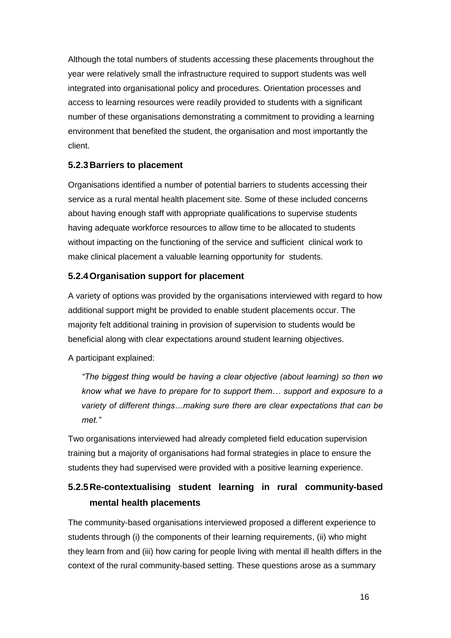Although the total numbers of students accessing these placements throughout the year were relatively small the infrastructure required to support students was well integrated into organisational policy and procedures. Orientation processes and access to learning resources were readily provided to students with a significant number of these organisations demonstrating a commitment to providing a learning environment that benefited the student, the organisation and most importantly the client.

## <span id="page-20-0"></span>**5.2.3Barriers to placement**

Organisations identified a number of potential barriers to students accessing their service as a rural mental health placement site. Some of these included concerns about having enough staff with appropriate qualifications to supervise students having adequate workforce resources to allow time to be allocated to students without impacting on the functioning of the service and sufficient clinical work to make clinical placement a valuable learning opportunity for students.

#### <span id="page-20-1"></span>**5.2.4Organisation support for placement**

A variety of options was provided by the organisations interviewed with regard to how additional support might be provided to enable student placements occur. The majority felt additional training in provision of supervision to students would be beneficial along with clear expectations around student learning objectives.

A participant explained:

*"The biggest thing would be having a clear objective (about learning) so then we know what we have to prepare for to support them… support and exposure to a variety of different things…making sure there are clear expectations that can be met."*

Two organisations interviewed had already completed field education supervision training but a majority of organisations had formal strategies in place to ensure the students they had supervised were provided with a positive learning experience.

# <span id="page-20-2"></span>**5.2.5Re-contextualising student learning in rural community-based mental health placements**

The community-based organisations interviewed proposed a different experience to students through (i) the components of their learning requirements, (ii) who might they learn from and (iii) how caring for people living with mental ill health differs in the context of the rural community-based setting. These questions arose as a summary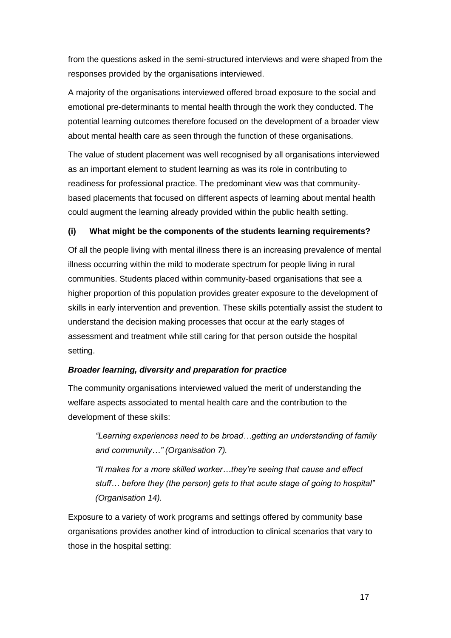from the questions asked in the semi-structured interviews and were shaped from the responses provided by the organisations interviewed.

A majority of the organisations interviewed offered broad exposure to the social and emotional pre-determinants to mental health through the work they conducted. The potential learning outcomes therefore focused on the development of a broader view about mental health care as seen through the function of these organisations.

The value of student placement was well recognised by all organisations interviewed as an important element to student learning as was its role in contributing to readiness for professional practice. The predominant view was that communitybased placements that focused on different aspects of learning about mental health could augment the learning already provided within the public health setting.

#### <span id="page-21-0"></span>**(i) What might be the components of the students learning requirements?**

Of all the people living with mental illness there is an increasing prevalence of mental illness occurring within the mild to moderate spectrum for people living in rural communities. Students placed within community-based organisations that see a higher proportion of this population provides greater exposure to the development of skills in early intervention and prevention. These skills potentially assist the student to understand the decision making processes that occur at the early stages of assessment and treatment while still caring for that person outside the hospital setting.

#### *Broader learning, diversity and preparation for practice*

The community organisations interviewed valued the merit of understanding the welfare aspects associated to mental health care and the contribution to the development of these skills:

*"Learning experiences need to be broad…getting an understanding of family and community…" (Organisation 7).*

*"It makes for a more skilled worker…they're seeing that cause and effect stuff… before they (the person) gets to that acute stage of going to hospital" (Organisation 14).*

Exposure to a variety of work programs and settings offered by community base organisations provides another kind of introduction to clinical scenarios that vary to those in the hospital setting: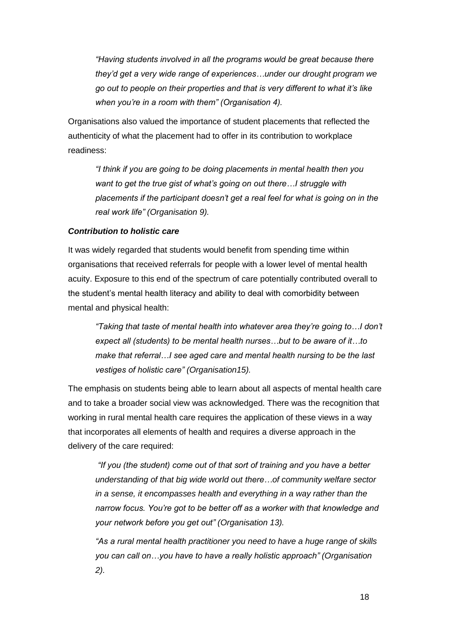*"Having students involved in all the programs would be great because there they'd get a very wide range of experiences…under our drought program we go out to people on their properties and that is very different to what it's like when you're in a room with them" (Organisation 4).*

Organisations also valued the importance of student placements that reflected the authenticity of what the placement had to offer in its contribution to workplace readiness:

*"I think if you are going to be doing placements in mental health then you want to get the true gist of what's going on out there…I struggle with placements if the participant doesn't get a real feel for what is going on in the real work life" (Organisation 9).*

#### *Contribution to holistic care*

It was widely regarded that students would benefit from spending time within organisations that received referrals for people with a lower level of mental health acuity. Exposure to this end of the spectrum of care potentially contributed overall to the student"s mental health literacy and ability to deal with comorbidity between mental and physical health:

*"Taking that taste of mental health into whatever area they're going to…I don't expect all (students) to be mental health nurses…but to be aware of it…to make that referral…I see aged care and mental health nursing to be the last vestiges of holistic care" (Organisation15).* 

The emphasis on students being able to learn about all aspects of mental health care and to take a broader social view was acknowledged. There was the recognition that working in rural mental health care requires the application of these views in a way that incorporates all elements of health and requires a diverse approach in the delivery of the care required:

*"If you (the student) come out of that sort of training and you have a better understanding of that big wide world out there…of community welfare sector in a sense, it encompasses health and everything in a way rather than the narrow focus. You're got to be better off as a worker with that knowledge and your network before you get out" (Organisation 13).*

*"As a rural mental health practitioner you need to have a huge range of skills you can call on…you have to have a really holistic approach" (Organisation 2).*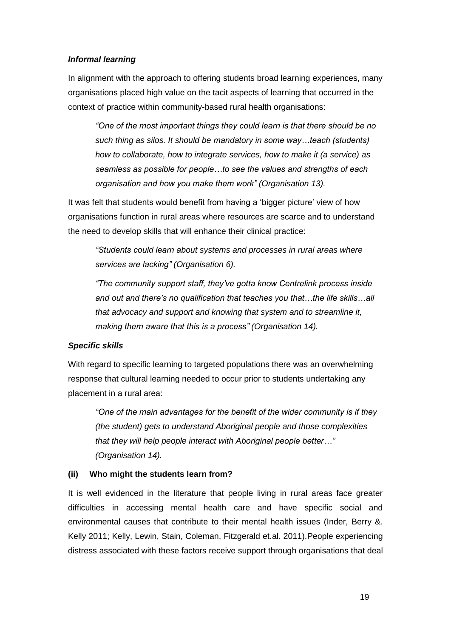#### *Informal learning*

In alignment with the approach to offering students broad learning experiences, many organisations placed high value on the tacit aspects of learning that occurred in the context of practice within community-based rural health organisations:

*"One of the most important things they could learn is that there should be no such thing as silos. It should be mandatory in some way…teach (students) how to collaborate, how to integrate services, how to make it (a service) as seamless as possible for people…to see the values and strengths of each organisation and how you make them work" (Organisation 13).*

It was felt that students would benefit from having a 'bigger picture' view of how organisations function in rural areas where resources are scarce and to understand the need to develop skills that will enhance their clinical practice:

*"Students could learn about systems and processes in rural areas where services are lacking" (Organisation 6).*

*"The community support staff, they've gotta know Centrelink process inside and out and there's no qualification that teaches you that…the life skills…all that advocacy and support and knowing that system and to streamline it, making them aware that this is a process" (Organisation 14).*

#### *Specific skills*

With regard to specific learning to targeted populations there was an overwhelming response that cultural learning needed to occur prior to students undertaking any placement in a rural area:

*"One of the main advantages for the benefit of the wider community is if they (the student) gets to understand Aboriginal people and those complexities that they will help people interact with Aboriginal people better…" (Organisation 14).* 

#### <span id="page-23-0"></span>**(ii) Who might the students learn from?**

It is well evidenced in the literature that people living in rural areas face greater difficulties in accessing mental health care and have specific social and environmental causes that contribute to their mental health issues (Inder, Berry &. Kelly 2011; Kelly, Lewin, Stain, Coleman, Fitzgerald et.al. 2011).People experiencing distress associated with these factors receive support through organisations that deal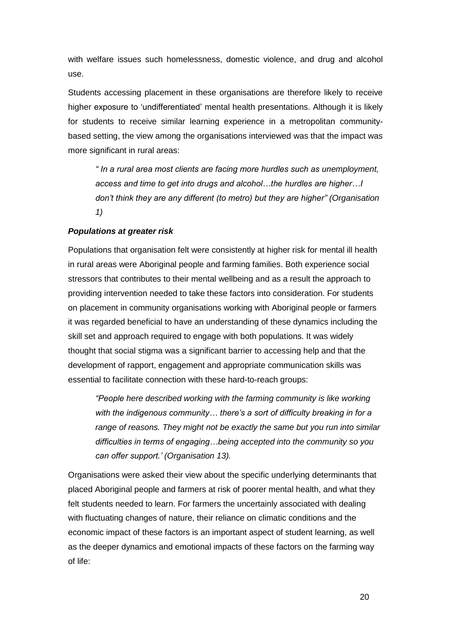with welfare issues such homelessness, domestic violence, and drug and alcohol use.

Students accessing placement in these organisations are therefore likely to receive higher exposure to 'undifferentiated' mental health presentations. Although it is likely for students to receive similar learning experience in a metropolitan communitybased setting, the view among the organisations interviewed was that the impact was more significant in rural areas:

*" In a rural area most clients are facing more hurdles such as unemployment, access and time to get into drugs and alcohol…the hurdles are higher…I don't think they are any different (to metro) but they are higher" (Organisation 1)*

#### *Populations at greater risk*

Populations that organisation felt were consistently at higher risk for mental ill health in rural areas were Aboriginal people and farming families. Both experience social stressors that contributes to their mental wellbeing and as a result the approach to providing intervention needed to take these factors into consideration. For students on placement in community organisations working with Aboriginal people or farmers it was regarded beneficial to have an understanding of these dynamics including the skill set and approach required to engage with both populations. It was widely thought that social stigma was a significant barrier to accessing help and that the development of rapport, engagement and appropriate communication skills was essential to facilitate connection with these hard-to-reach groups:

*"People here described working with the farming community is like working with the indigenous community… there's a sort of difficulty breaking in for a range of reasons. They might not be exactly the same but you run into similar difficulties in terms of engaging…being accepted into the community so you can offer support.' (Organisation 13).*

Organisations were asked their view about the specific underlying determinants that placed Aboriginal people and farmers at risk of poorer mental health, and what they felt students needed to learn. For farmers the uncertainly associated with dealing with fluctuating changes of nature, their reliance on climatic conditions and the economic impact of these factors is an important aspect of student learning, as well as the deeper dynamics and emotional impacts of these factors on the farming way of life: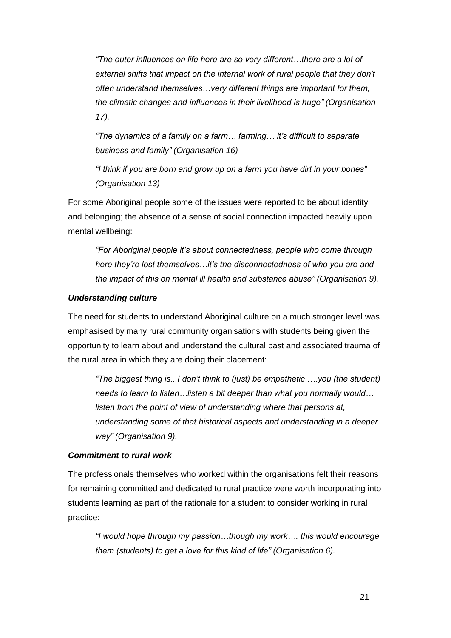*"The outer influences on life here are so very different…there are a lot of external shifts that impact on the internal work of rural people that they don't often understand themselves…very different things are important for them, the climatic changes and influences in their livelihood is huge" (Organisation 17).*

*"The dynamics of a family on a farm… farming… it's difficult to separate business and family" (Organisation 16)*

*"I think if you are born and grow up on a farm you have dirt in your bones" (Organisation 13)*

For some Aboriginal people some of the issues were reported to be about identity and belonging; the absence of a sense of social connection impacted heavily upon mental wellbeing:

*"For Aboriginal people it's about connectedness, people who come through here they're lost themselves…it's the disconnectedness of who you are and the impact of this on mental ill health and substance abuse" (Organisation 9).*

#### *Understanding culture*

The need for students to understand Aboriginal culture on a much stronger level was emphasised by many rural community organisations with students being given the opportunity to learn about and understand the cultural past and associated trauma of the rural area in which they are doing their placement:

*"The biggest thing is...I don't think to (just) be empathetic ….you (the student) needs to learn to listen…listen a bit deeper than what you normally would… listen from the point of view of understanding where that persons at, understanding some of that historical aspects and understanding in a deeper way" (Organisation 9).* 

#### *Commitment to rural work*

The professionals themselves who worked within the organisations felt their reasons for remaining committed and dedicated to rural practice were worth incorporating into students learning as part of the rationale for a student to consider working in rural practice:

*"I would hope through my passion…though my work…. this would encourage them (students) to get a love for this kind of life" (Organisation 6).*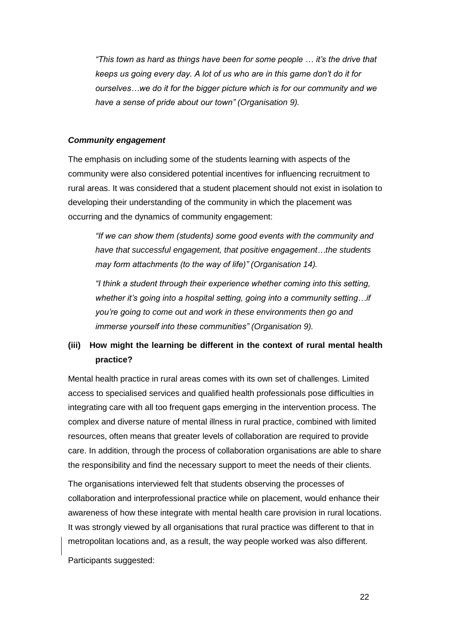*"This town as hard as things have been for some people … it's the drive that keeps us going every day. A lot of us who are in this game don't do it for ourselves…we do it for the bigger picture which is for our community and we have a sense of pride about our town" (Organisation 9).* 

#### *Community engagement*

The emphasis on including some of the students learning with aspects of the community were also considered potential incentives for influencing recruitment to rural areas. It was considered that a student placement should not exist in isolation to developing their understanding of the community in which the placement was occurring and the dynamics of community engagement:

*"If we can show them (students) some good events with the community and have that successful engagement, that positive engagement…the students may form attachments (to the way of life)" (Organisation 14).*

*"I think a student through their experience whether coming into this setting, whether it's going into a hospital setting, going into a community setting…if you're going to come out and work in these environments then go and immerse yourself into these communities" (Organisation 9).*

## <span id="page-26-0"></span>**(iii) How might the learning be different in the context of rural mental health practice?**

Mental health practice in rural areas comes with its own set of challenges. Limited access to specialised services and qualified health professionals pose difficulties in integrating care with all too frequent gaps emerging in the intervention process. The complex and diverse nature of mental illness in rural practice, combined with limited resources, often means that greater levels of collaboration are required to provide care. In addition, through the process of collaboration organisations are able to share the responsibility and find the necessary support to meet the needs of their clients.

The organisations interviewed felt that students observing the processes of collaboration and interprofessional practice while on placement, would enhance their awareness of how these integrate with mental health care provision in rural locations. It was strongly viewed by all organisations that rural practice was different to that in metropolitan locations and, as a result, the way people worked was also different.

Participants suggested: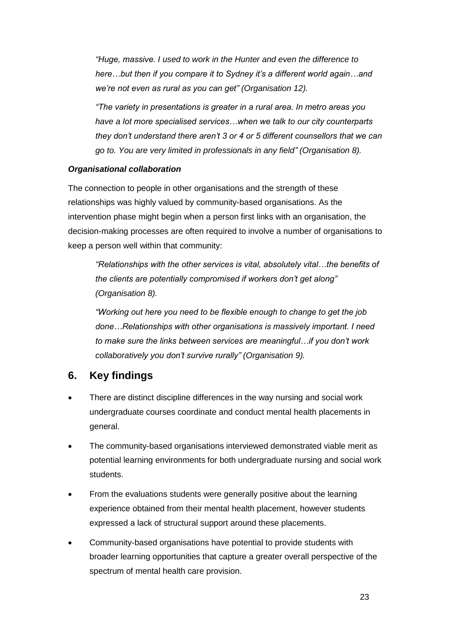*"Huge, massive. I used to work in the Hunter and even the difference to here…but then if you compare it to Sydney it's a different world again…and we're not even as rural as you can get" (Organisation 12).*

*"The variety in presentations is greater in a rural area. In metro areas you have a lot more specialised services…when we talk to our city counterparts they don't understand there aren't 3 or 4 or 5 different counsellors that we can go to. You are very limited in professionals in any field" (Organisation 8).*

#### *Organisational collaboration*

The connection to people in other organisations and the strength of these relationships was highly valued by community-based organisations. As the intervention phase might begin when a person first links with an organisation, the decision-making processes are often required to involve a number of organisations to keep a person well within that community:

*"Relationships with the other services is vital, absolutely vital…the benefits of the clients are potentially compromised if workers don't get along" (Organisation 8).*

*"Working out here you need to be flexible enough to change to get the job done…Relationships with other organisations is massively important. I need to make sure the links between services are meaningful…if you don't work collaboratively you don't survive rurally" (Organisation 9).*

# <span id="page-27-0"></span>**6. Key findings**

- There are distinct discipline differences in the way nursing and social work undergraduate courses coordinate and conduct mental health placements in general.
- The community-based organisations interviewed demonstrated viable merit as potential learning environments for both undergraduate nursing and social work students.
- From the evaluations students were generally positive about the learning experience obtained from their mental health placement, however students expressed a lack of structural support around these placements.
- Community-based organisations have potential to provide students with broader learning opportunities that capture a greater overall perspective of the spectrum of mental health care provision.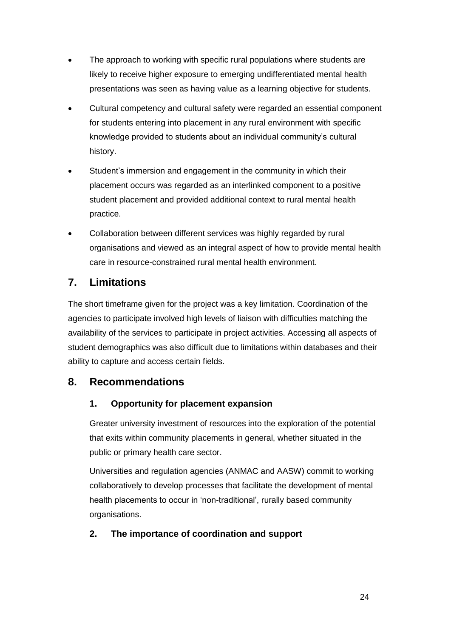- The approach to working with specific rural populations where students are likely to receive higher exposure to emerging undifferentiated mental health presentations was seen as having value as a learning objective for students.
- Cultural competency and cultural safety were regarded an essential component for students entering into placement in any rural environment with specific knowledge provided to students about an individual community"s cultural history.
- Student"s immersion and engagement in the community in which their placement occurs was regarded as an interlinked component to a positive student placement and provided additional context to rural mental health practice.
- Collaboration between different services was highly regarded by rural organisations and viewed as an integral aspect of how to provide mental health care in resource-constrained rural mental health environment.

# <span id="page-28-0"></span>**7. Limitations**

The short timeframe given for the project was a key limitation. Coordination of the agencies to participate involved high levels of liaison with difficulties matching the availability of the services to participate in project activities. Accessing all aspects of student demographics was also difficult due to limitations within databases and their ability to capture and access certain fields.

# <span id="page-28-1"></span>**8. Recommendations**

## **1. Opportunity for placement expansion**

Greater university investment of resources into the exploration of the potential that exits within community placements in general, whether situated in the public or primary health care sector.

Universities and regulation agencies (ANMAC and AASW) commit to working collaboratively to develop processes that facilitate the development of mental health placements to occur in "non-traditional", rurally based community organisations.

## **2. The importance of coordination and support**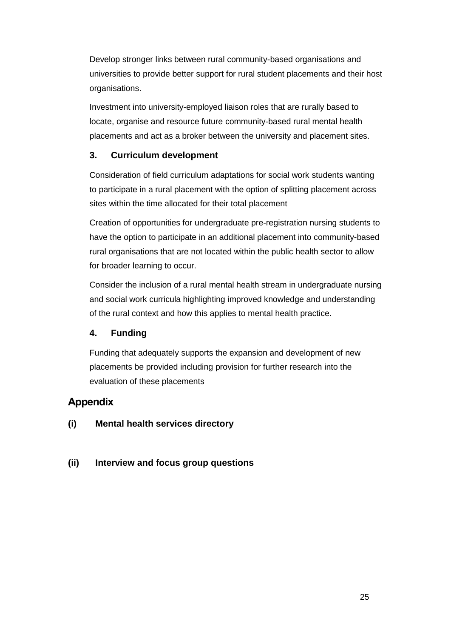Develop stronger links between rural community-based organisations and universities to provide better support for rural student placements and their host organisations.

Investment into university-employed liaison roles that are rurally based to locate, organise and resource future community-based rural mental health placements and act as a broker between the university and placement sites.

## **3. Curriculum development**

Consideration of field curriculum adaptations for social work students wanting to participate in a rural placement with the option of splitting placement across sites within the time allocated for their total placement

Creation of opportunities for undergraduate pre-registration nursing students to have the option to participate in an additional placement into community-based rural organisations that are not located within the public health sector to allow for broader learning to occur.

Consider the inclusion of a rural mental health stream in undergraduate nursing and social work curricula highlighting improved knowledge and understanding of the rural context and how this applies to mental health practice.

# **4. Funding**

Funding that adequately supports the expansion and development of new placements be provided including provision for further research into the evaluation of these placements

# <span id="page-29-0"></span>**Appendix**

## **(i) Mental health services directory**

## **(ii) Interview and focus group questions**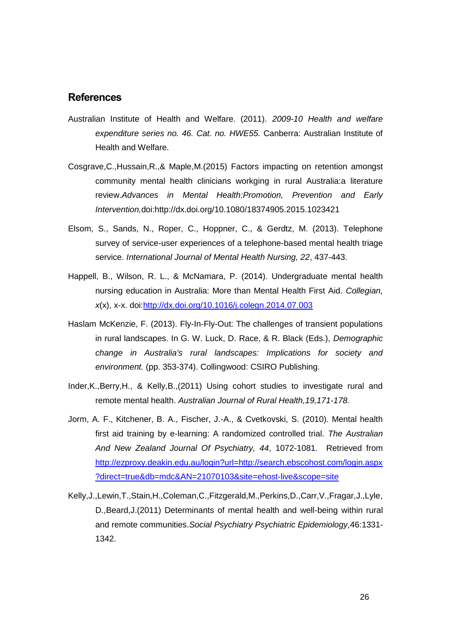## <span id="page-30-0"></span>**References**

- Australian Institute of Health and Welfare. (2011). *2009-10 Health and welfare expenditure series no. 46. Cat. no. HWE55.* Canberra: Australian Institute of Health and Welfare.
- Cosgrave,C.,Hussain,R.,& Maple,M.(2015) Factors impacting on retention amongst community mental health clinicians workging in rural Australia:a literature review.*Advances in Mental Health:Promotion, Prevention and Early Intervention,*doi:http://dx.doi.org/10.1080/18374905.2015.1023421
- Elsom, S., Sands, N., Roper, C., Hoppner, C., & Gerdtz, M. (2013). Telephone survey of service-user experiences of a telephone-based mental health triage service. *International Journal of Mental Health Nursing, 22*, 437-443.
- Happell, B., Wilson, R. L., & McNamara, P. (2014). Undergraduate mental health nursing education in Australia: More than Mental Health First Aid. *Collegian, x*(x), x-x. doi[:http://dx.doi.org/10.1016/j.colegn.2014.07.003](http://dx.doi.org/10.1016/j.colegn.2014.07.003)
- Haslam McKenzie, F. (2013). Fly-In-Fly-Out: The challenges of transient populations in rural landscapes. In G. W. Luck, D. Race, & R. Black (Eds.), *Demographic change in Australia's rural landscapes: Implications for society and environment.* (pp. 353-374). Collingwood: CSIRO Publishing.
- Inder,K.,Berry,H., & Kelly,B.,(2011) Using cohort studies to investigate rural and remote mental health. *Australian Journal of Rural Health,19,171-178.*
- Jorm, A. F., Kitchener, B. A., Fischer, J.-A., & Cvetkovski, S. (2010). Mental health first aid training by e-learning: A randomized controlled trial. *The Australian And New Zealand Journal Of Psychiatry, 44*, 1072-1081. Retrieved from [http://ezproxy.deakin.edu.au/login?url=http://search.ebscohost.com/login.aspx](http://ezproxy.deakin.edu.au/login?url=http://search.ebscohost.com/login.aspx?direct=true&db=mdc&AN=21070103&site=ehost-live&scope=site) [?direct=true&db=mdc&AN=21070103&site=ehost-live&scope=site](http://ezproxy.deakin.edu.au/login?url=http://search.ebscohost.com/login.aspx?direct=true&db=mdc&AN=21070103&site=ehost-live&scope=site)
- Kelly,J.,Lewin,T.,Stain,H.,Coleman,C.,Fitzgerald,M.,Perkins,D.,Carr,V.,Fragar,J.,Lyle, D.,Beard,J.(2011) Determinants of mental health and well-being within rural and remote communities.*Social Psychiatry Psychiatric Epidemiology,*46:1331- 1342.